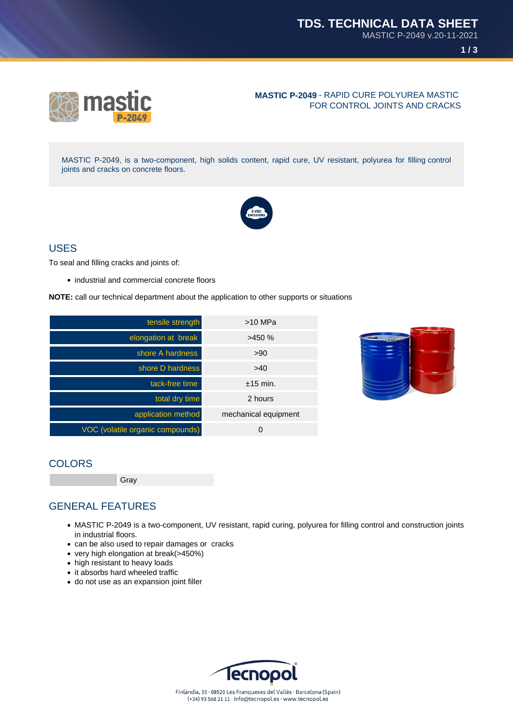

#### **MASTIC P-2049** - RAPID CURE POLYUREA MASTIC FOR CONTROL JOINTS AND CRACKS

MASTIC P-2049, is a two-component, high solids content, rapid cure, UV resistant, polyurea for filling control joints and cracks on concrete floors.



#### USES

To seal and filling cracks and joints of:

• industrial and commercial concrete floors

**NOTE:** call our technical department about the application to other supports or situations

| tensile strength                 | $>10$ MPa            |
|----------------------------------|----------------------|
| elongation at break              | >450%                |
| shore A hardness                 | >90                  |
| shore D hardness                 | >40                  |
| tack-free time                   | $+15$ min.           |
| total dry time                   | 2 hours              |
| application method               | mechanical equipment |
| VOC (volatile organic compounds) | 0                    |



### **COLORS**

Gray

# GENERAL FEATURES

- MASTIC P-2049 is a two-component, UV resistant, rapid curing, polyurea for filling control and construction joints in industrial floors.
- can be also used to repair damages or cracks
- very high elongation at break(>450%)
- high resistant to heavy loads
- it absorbs hard wheeled traffic
- do not use as an expansion joint filler

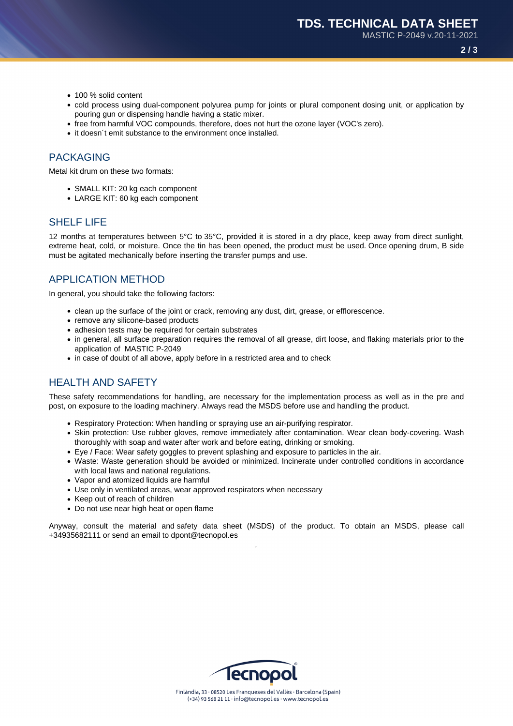MASTIC P-2049 v.20-11-2021

**2 / 3**

- 100 % solid content
- cold process using dual-component polyurea pump for joints or plural component dosing unit, or application by pouring gun or dispensing handle having a static mixer.
- free from harmful VOC compounds, therefore, does not hurt the ozone layer (VOC's zero).
- it doesn't emit substance to the environment once installed.

#### PACKAGING

Metal kit drum on these two formats:

- SMALL KIT: 20 kg each component
- LARGE KIT: 60 kg each component

### SHELF LIFE

12 months at temperatures between 5°C to 35°C, provided it is stored in a dry place, keep away from direct sunlight, extreme heat, cold, or moisture. Once the tin has been opened, the product must be used. Once opening drum, B side must be agitated mechanically before inserting the transfer pumps and use.

### APPLICATION METHOD

In general, you should take the following factors:

- clean up the surface of the joint or crack, removing any dust, dirt, grease, or efflorescence.
- remove any silicone-based products
- adhesion tests may be required for certain substrates
- in general, all surface preparation requires the removal of all grease, dirt loose, and flaking materials prior to the application of MASTIC P-2049
- in case of doubt of all above, apply before in a restricted area and to check

# HEALTH AND SAFETY

These safety recommendations for handling, are necessary for the implementation process as well as in the pre and post, on exposure to the loading machinery. Always read the MSDS before use and handling the product.

- Respiratory Protection: When handling or spraying use an air-purifying respirator.
- Skin protection: Use rubber gloves, remove immediately after contamination. Wear clean body-covering. Wash thoroughly with soap and water after work and before eating, drinking or smoking.
- Eye / Face: Wear safety goggles to prevent splashing and exposure to particles in the air.
- Waste: Waste generation should be avoided or minimized. Incinerate under controlled conditions in accordance with local laws and national regulations.
- Vapor and atomized liquids are harmful
- Use only in ventilated areas, wear approved respirators when necessary
- Keep out of reach of children
- Do not use near high heat or open flame

Anyway, consult the material and safety data sheet (MSDS) of the product. To obtain an MSDS, please call +34935682111 or send an email to dpont@tecnopol.es